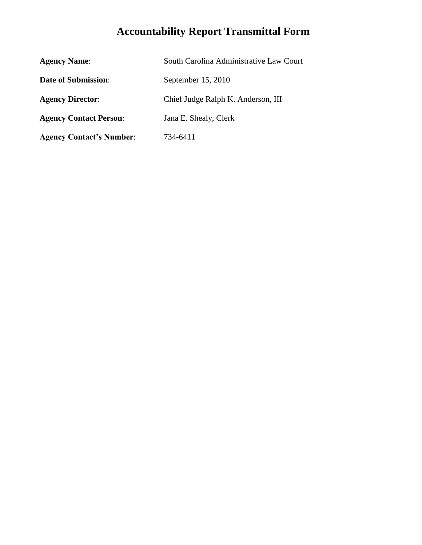# **Accountability Report Transmittal Form**

| <b>Agency Name:</b>             | South Carolina Administrative Law Court |
|---------------------------------|-----------------------------------------|
| <b>Date of Submission:</b>      | September $15, 2010$                    |
| <b>Agency Director:</b>         | Chief Judge Ralph K. Anderson, III      |
| <b>Agency Contact Person:</b>   | Jana E. Shealy, Clerk                   |
| <b>Agency Contact's Number:</b> | 734-6411                                |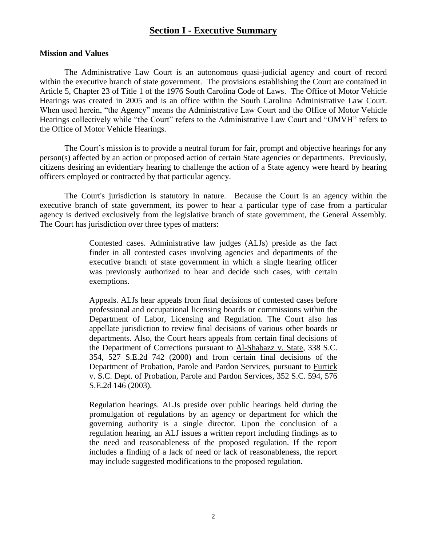# **Section I - Executive Summary**

### **Mission and Values**

The Administrative Law Court is an autonomous quasi-judicial agency and court of record within the executive branch of state government. The provisions establishing the Court are contained in Article 5, Chapter 23 of Title 1 of the 1976 South Carolina Code of Laws. The Office of Motor Vehicle Hearings was created in 2005 and is an office within the South Carolina Administrative Law Court. When used herein, "the Agency" means the Administrative Law Court and the Office of Motor Vehicle Hearings collectively while "the Court" refers to the Administrative Law Court and "OMVH" refers to the Office of Motor Vehicle Hearings.

The Court's mission is to provide a neutral forum for fair, prompt and objective hearings for any person(s) affected by an action or proposed action of certain State agencies or departments. Previously, citizens desiring an evidentiary hearing to challenge the action of a State agency were heard by hearing officers employed or contracted by that particular agency.

The Court's jurisdiction is statutory in nature. Because the Court is an agency within the executive branch of state government, its power to hear a particular type of case from a particular agency is derived exclusively from the legislative branch of state government, the General Assembly. The Court has jurisdiction over three types of matters:

> Contested cases. Administrative law judges (ALJs) preside as the fact finder in all contested cases involving agencies and departments of the executive branch of state government in which a single hearing officer was previously authorized to hear and decide such cases, with certain exemptions.

> Appeals. ALJs hear appeals from final decisions of contested cases before professional and occupational licensing boards or commissions within the Department of Labor, Licensing and Regulation. The Court also has appellate jurisdiction to review final decisions of various other boards or departments. Also, the Court hears appeals from certain final decisions of the Department of Corrections pursuant to Al-Shabazz v. State, 338 S.C. 354, 527 S.E.2d 742 (2000) and from certain final decisions of the Department of Probation, Parole and Pardon Services, pursuant to Furtick v. S.C. Dept. of Probation, Parole and Pardon Services, 352 S.C. 594, 576 S.E.2d 146 (2003).

> Regulation hearings. ALJs preside over public hearings held during the promulgation of regulations by an agency or department for which the governing authority is a single director. Upon the conclusion of a regulation hearing, an ALJ issues a written report including findings as to the need and reasonableness of the proposed regulation. If the report includes a finding of a lack of need or lack of reasonableness, the report may include suggested modifications to the proposed regulation.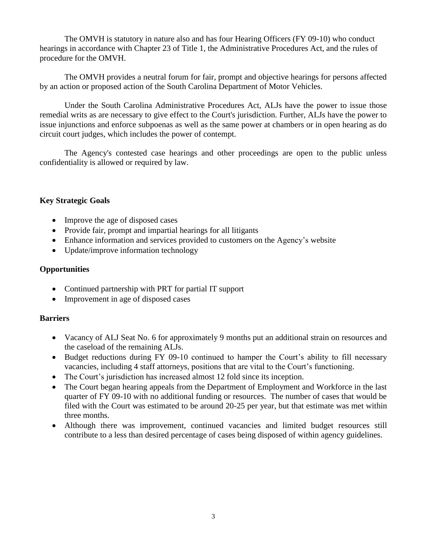The OMVH is statutory in nature also and has four Hearing Officers (FY 09-10) who conduct hearings in accordance with Chapter 23 of Title 1, the Administrative Procedures Act, and the rules of procedure for the OMVH.

The OMVH provides a neutral forum for fair, prompt and objective hearings for persons affected by an action or proposed action of the South Carolina Department of Motor Vehicles.

Under the South Carolina Administrative Procedures Act, ALJs have the power to issue those remedial writs as are necessary to give effect to the Court's jurisdiction. Further, ALJs have the power to issue injunctions and enforce subpoenas as well as the same power at chambers or in open hearing as do circuit court judges, which includes the power of contempt.

The Agency's contested case hearings and other proceedings are open to the public unless confidentiality is allowed or required by law.

# **Key Strategic Goals**

- Improve the age of disposed cases
- Provide fair, prompt and impartial hearings for all litigants
- Enhance information and services provided to customers on the Agency's website
- Update/improve information technology

### **Opportunities**

- Continued partnership with PRT for partial IT support
- Improvement in age of disposed cases

### **Barriers**

- Vacancy of ALJ Seat No. 6 for approximately 9 months put an additional strain on resources and the caseload of the remaining ALJs.
- Budget reductions during FY 09-10 continued to hamper the Court's ability to fill necessary vacancies, including 4 staff attorneys, positions that are vital to the Court's functioning.
- The Court's jurisdiction has increased almost 12 fold since its inception.
- The Court began hearing appeals from the Department of Employment and Workforce in the last quarter of FY 09-10 with no additional funding or resources. The number of cases that would be filed with the Court was estimated to be around 20-25 per year, but that estimate was met within three months.
- Although there was improvement, continued vacancies and limited budget resources still contribute to a less than desired percentage of cases being disposed of within agency guidelines.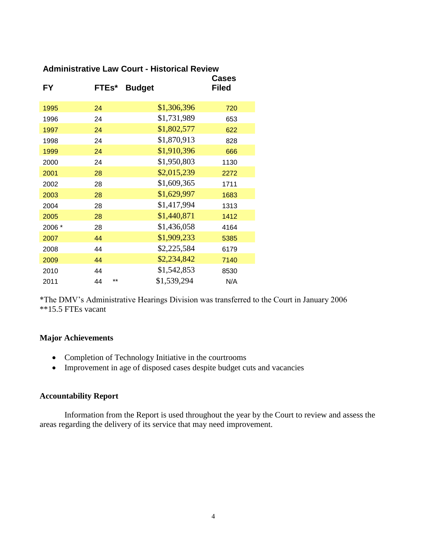# **Administrative Law Court - Historical Review**

| <b>FY</b> | <b>FTEs*</b> | <b>Budget</b> | Cases<br><b>Filed</b> |
|-----------|--------------|---------------|-----------------------|
| 1995      | 24           | \$1,306,396   | 720                   |
| 1996      | 24           | \$1,731,989   | 653                   |
| 1997      | 24           | \$1,802,577   | 622                   |
| 1998      | 24           | \$1,870,913   | 828                   |
| 1999      | 24           | \$1,910,396   | 666                   |
| 2000      | 24           | \$1,950,803   | 1130                  |
| 2001      | 28           | \$2,015,239   | 2272                  |
| 2002      | 28           | \$1,609,365   | 1711                  |
| 2003      | 28           | \$1,629,997   | 1683                  |
| 2004      | 28           | \$1,417,994   | 1313                  |
| 2005      | 28           | \$1,440,871   | 1412                  |
| 2006 *    | 28           | \$1,436,058   | 4164                  |
| 2007      | 44           | \$1,909,233   | 5385                  |
| 2008      | 44           | \$2,225,584   | 6179                  |
| 2009      | 44           | \$2,234,842   | 7140                  |
| 2010      | 44           | \$1,542,853   | 8530                  |
| 2011      | **<br>44     | \$1,539,294   | N/A                   |

\*The DMV's Administrative Hearings Division was transferred to the Court in January 2006 \*\*15.5 FTEs vacant

### **Major Achievements**

- Completion of Technology Initiative in the courtrooms
- Improvement in age of disposed cases despite budget cuts and vacancies

# **Accountability Report**

Information from the Report is used throughout the year by the Court to review and assess the areas regarding the delivery of its service that may need improvement.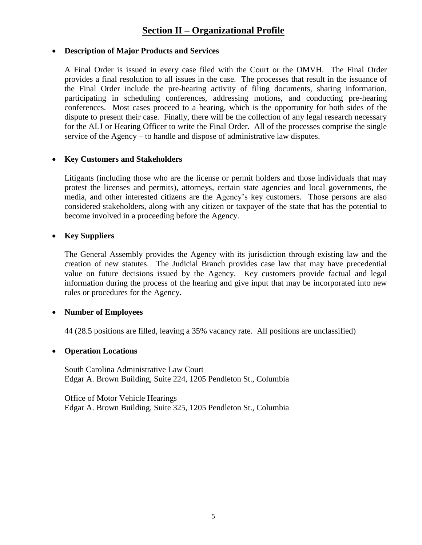# **Section II – Organizational Profile**

### **Description of Major Products and Services**

A Final Order is issued in every case filed with the Court or the OMVH. The Final Order provides a final resolution to all issues in the case. The processes that result in the issuance of the Final Order include the pre-hearing activity of filing documents, sharing information, participating in scheduling conferences, addressing motions, and conducting pre-hearing conferences. Most cases proceed to a hearing, which is the opportunity for both sides of the dispute to present their case. Finally, there will be the collection of any legal research necessary for the ALJ or Hearing Officer to write the Final Order. All of the processes comprise the single service of the Agency – to handle and dispose of administrative law disputes.

### **Key Customers and Stakeholders**

Litigants (including those who are the license or permit holders and those individuals that may protest the licenses and permits), attorneys, certain state agencies and local governments, the media, and other interested citizens are the Agency's key customers. Those persons are also considered stakeholders, along with any citizen or taxpayer of the state that has the potential to become involved in a proceeding before the Agency.

### **Key Suppliers**

The General Assembly provides the Agency with its jurisdiction through existing law and the creation of new statutes. The Judicial Branch provides case law that may have precedential value on future decisions issued by the Agency. Key customers provide factual and legal information during the process of the hearing and give input that may be incorporated into new rules or procedures for the Agency.

# **Number of Employees**

44 (28.5 positions are filled, leaving a 35% vacancy rate. All positions are unclassified)

### **Operation Locations**

South Carolina Administrative Law Court Edgar A. Brown Building, Suite 224, 1205 Pendleton St., Columbia

Office of Motor Vehicle Hearings Edgar A. Brown Building, Suite 325, 1205 Pendleton St., Columbia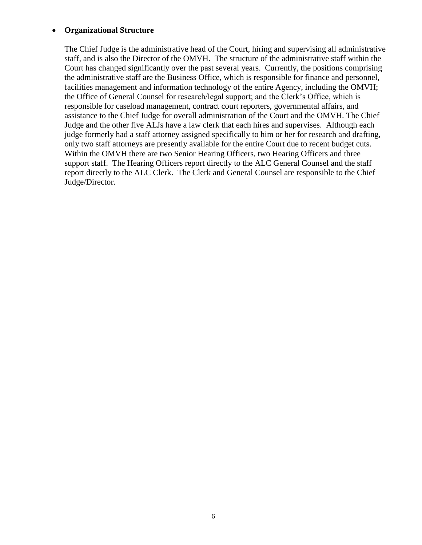### **Organizational Structure**

The Chief Judge is the administrative head of the Court, hiring and supervising all administrative staff, and is also the Director of the OMVH. The structure of the administrative staff within the Court has changed significantly over the past several years. Currently, the positions comprising the administrative staff are the Business Office, which is responsible for finance and personnel, facilities management and information technology of the entire Agency, including the OMVH; the Office of General Counsel for research/legal support; and the Clerk's Office, which is responsible for caseload management, contract court reporters, governmental affairs, and assistance to the Chief Judge for overall administration of the Court and the OMVH. The Chief Judge and the other five ALJs have a law clerk that each hires and supervises. Although each judge formerly had a staff attorney assigned specifically to him or her for research and drafting, only two staff attorneys are presently available for the entire Court due to recent budget cuts. Within the OMVH there are two Senior Hearing Officers, two Hearing Officers and three support staff. The Hearing Officers report directly to the ALC General Counsel and the staff report directly to the ALC Clerk. The Clerk and General Counsel are responsible to the Chief Judge/Director.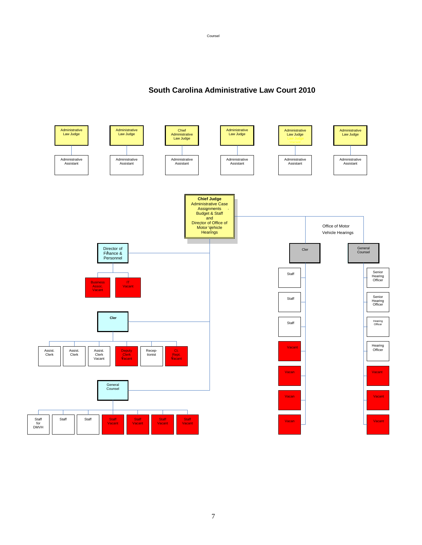Counsel

# **South Carolina Administrative Law Court 2010**

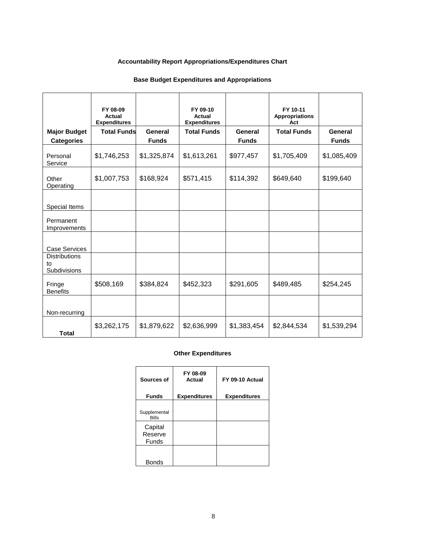# **Accountability Report Appropriations/Expenditures Chart**

|                                            | FY 08-09<br><b>Actual</b><br><b>Expenditures</b> |              | FY 09-10<br>Actual<br><b>Expenditures</b> |              | FY 10-11<br><b>Appropriations</b><br>Act |              |
|--------------------------------------------|--------------------------------------------------|--------------|-------------------------------------------|--------------|------------------------------------------|--------------|
| <b>Major Budget</b>                        | <b>Total Funds</b>                               | General      | <b>Total Funds</b>                        | General      | <b>Total Funds</b>                       | General      |
| <b>Categories</b>                          |                                                  | <b>Funds</b> |                                           | <b>Funds</b> |                                          | <b>Funds</b> |
| Personal<br>Service                        | \$1,746,253                                      | \$1,325,874  | \$1,613,261                               | \$977,457    | \$1,705,409                              | \$1,085,409  |
| Other<br>Operating                         | \$1,007,753                                      | \$168,924    | \$571,415                                 | \$114,392    | \$649,640                                | \$199,640    |
| Special Items                              |                                                  |              |                                           |              |                                          |              |
| Permanent<br>Improvements                  |                                                  |              |                                           |              |                                          |              |
| Case Services                              |                                                  |              |                                           |              |                                          |              |
| <b>Distributions</b><br>to<br>Subdivisions |                                                  |              |                                           |              |                                          |              |
| Fringe<br><b>Benefits</b>                  | \$508,169                                        | \$384,824    | \$452,323                                 | \$291,605    | \$489,485                                | \$254,245    |
| Non-recurring                              |                                                  |              |                                           |              |                                          |              |
| <b>Total</b>                               | \$3,262,175                                      | \$1,879,622  | \$2,636,999                               | \$1,383,454  | \$2,844,534                              | \$1,539,294  |

### **Base Budget Expenditures and Appropriations**

### **Other Expenditures**

| Sources of                         | FY 08-09<br>Actual  | FY 09-10 Actual     |
|------------------------------------|---------------------|---------------------|
| <b>Funds</b>                       | <b>Expenditures</b> | <b>Expenditures</b> |
| Supplemental<br><b>Bills</b>       |                     |                     |
| Capital<br>Reserve<br><b>Funds</b> |                     |                     |
| Bonds                              |                     |                     |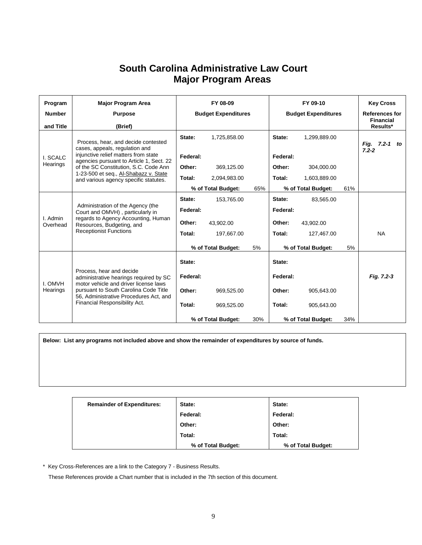# **South Carolina Administrative Law Court Major Program Areas**

| Program                             | <b>Major Program Area</b>                                                                                          | FY 08-09                   |                    | FY 09-10 |                            | <b>Key Cross</b>   |                                           |            |  |
|-------------------------------------|--------------------------------------------------------------------------------------------------------------------|----------------------------|--------------------|----------|----------------------------|--------------------|-------------------------------------------|------------|--|
| <b>Number</b>                       | <b>Purpose</b>                                                                                                     | <b>Budget Expenditures</b> |                    |          | <b>Budget Expenditures</b> |                    | <b>References for</b><br><b>Financial</b> |            |  |
| and Title                           | (Brief)                                                                                                            |                            |                    |          |                            |                    |                                           | Results*   |  |
| Process, hear, and decide contested | State:                                                                                                             | 1,725,858.00               |                    | State:   | 1,299,889.00               |                    | $7.2 - 1 to$<br>Fig.                      |            |  |
| I. SCALC                            | cases, appeals, regulation and<br>injunctive relief matters from state<br>agencies pursuant to Article 1, Sect. 22 | Federal:                   |                    |          | Federal:                   |                    |                                           | $7.2 - 2$  |  |
| Hearings                            | of the SC Constitution, S.C. Code Ann                                                                              | Other:                     | 369,125.00         |          | Other:                     | 304,000.00         |                                           |            |  |
|                                     | 1-23-500 et seq., Al-Shabazz v. State<br>and various agency specific statutes.                                     | Total:                     | 2,094,983.00       |          | Total:                     | 1,603,889.00       |                                           |            |  |
|                                     |                                                                                                                    |                            | % of Total Budget: | 65%      |                            | % of Total Budget: | 61%                                       |            |  |
|                                     | Administration of the Agency (the<br>Court and OMVH), particularly in                                              | State:                     | 153,765.00         |          | State:                     | 83,565.00          |                                           |            |  |
|                                     |                                                                                                                    | Federal:                   |                    |          | Federal:                   |                    |                                           |            |  |
| I. Admin<br>Overhead                | regards to Agency Accounting, Human<br>Resources, Budgeting, and                                                   | Other:                     | 43.902.00          |          | Other:                     | 43.902.00          |                                           |            |  |
|                                     | <b>Receptionist Functions</b>                                                                                      | Total:                     | 197,667.00         |          | Total:                     | 127,467.00         |                                           | <b>NA</b>  |  |
|                                     |                                                                                                                    |                            | % of Total Budget: | 5%       |                            | % of Total Budget: | 5%                                        |            |  |
|                                     |                                                                                                                    | State:                     |                    |          | State:                     |                    |                                           |            |  |
| I. OMVH<br>Hearings                 | Process, hear and decide<br>administrative hearings required by SC<br>motor vehicle and driver license laws        | Federal:                   |                    |          | Federal:                   |                    |                                           | Fig. 7.2-3 |  |
|                                     | pursuant to South Carolina Code Title<br>56, Administrative Procedures Act, and                                    | Other:                     | 969,525.00         |          | Other:                     | 905,643.00         |                                           |            |  |
|                                     | Financial Responsibility Act.                                                                                      | Total:                     | 969,525.00         |          | Total:                     | 905,643.00         |                                           |            |  |
|                                     |                                                                                                                    |                            | % of Total Budget: | 30%      |                            | % of Total Budget: | 34%                                       |            |  |

**Below: List any programs not included above and show the remainder of expenditures by source of funds.**

| <b>Remainder of Expenditures:</b> | State:             | State:             |
|-----------------------------------|--------------------|--------------------|
|                                   | Federal:           | Federal:           |
|                                   | Other:             | Other:             |
|                                   | Total:             | Total:             |
|                                   | % of Total Budget: | % of Total Budget: |

\* Key Cross-References are a link to the Category 7 - Business Results.

These References provide a Chart number that is included in the 7th section of this document.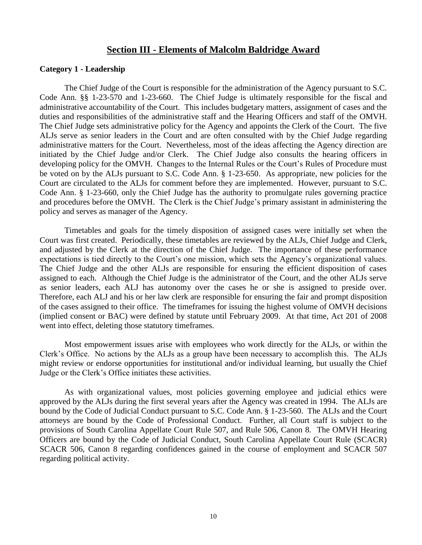# **Section III - Elements of Malcolm Baldridge Award**

#### **Category 1 - Leadership**

The Chief Judge of the Court is responsible for the administration of the Agency pursuant to S.C. Code Ann. §§ 1-23-570 and 1-23-660. The Chief Judge is ultimately responsible for the fiscal and administrative accountability of the Court. This includes budgetary matters, assignment of cases and the duties and responsibilities of the administrative staff and the Hearing Officers and staff of the OMVH. The Chief Judge sets administrative policy for the Agency and appoints the Clerk of the Court. The five ALJs serve as senior leaders in the Court and are often consulted with by the Chief Judge regarding administrative matters for the Court. Nevertheless, most of the ideas affecting the Agency direction are initiated by the Chief Judge and/or Clerk. The Chief Judge also consults the hearing officers in developing policy for the OMVH. Changes to the Internal Rules or the Court's Rules of Procedure must be voted on by the ALJs pursuant to S.C. Code Ann. § 1-23-650. As appropriate, new policies for the Court are circulated to the ALJs for comment before they are implemented. However, pursuant to S.C. Code Ann. § 1-23-660, only the Chief Judge has the authority to promulgate rules governing practice and procedures before the OMVH. The Clerk is the Chief Judge's primary assistant in administering the policy and serves as manager of the Agency.

Timetables and goals for the timely disposition of assigned cases were initially set when the Court was first created. Periodically, these timetables are reviewed by the ALJs, Chief Judge and Clerk, and adjusted by the Clerk at the direction of the Chief Judge. The importance of these performance expectations is tied directly to the Court's one mission, which sets the Agency's organizational values. The Chief Judge and the other ALJs are responsible for ensuring the efficient disposition of cases assigned to each. Although the Chief Judge is the administrator of the Court, and the other ALJs serve as senior leaders, each ALJ has autonomy over the cases he or she is assigned to preside over. Therefore, each ALJ and his or her law clerk are responsible for ensuring the fair and prompt disposition of the cases assigned to their office. The timeframes for issuing the highest volume of OMVH decisions (implied consent or BAC) were defined by statute until February 2009. At that time, Act 201 of 2008 went into effect, deleting those statutory timeframes.

Most empowerment issues arise with employees who work directly for the ALJs, or within the Clerk's Office. No actions by the ALJs as a group have been necessary to accomplish this. The ALJs might review or endorse opportunities for institutional and/or individual learning, but usually the Chief Judge or the Clerk's Office initiates these activities.

As with organizational values, most policies governing employee and judicial ethics were approved by the ALJs during the first several years after the Agency was created in 1994. The ALJs are bound by the Code of Judicial Conduct pursuant to S.C. Code Ann. § 1-23-560. The ALJs and the Court attorneys are bound by the Code of Professional Conduct. Further, all Court staff is subject to the provisions of South Carolina Appellate Court Rule 507, and Rule 506, Canon 8. The OMVH Hearing Officers are bound by the Code of Judicial Conduct, South Carolina Appellate Court Rule (SCACR) SCACR 506, Canon 8 regarding confidences gained in the course of employment and SCACR 507 regarding political activity.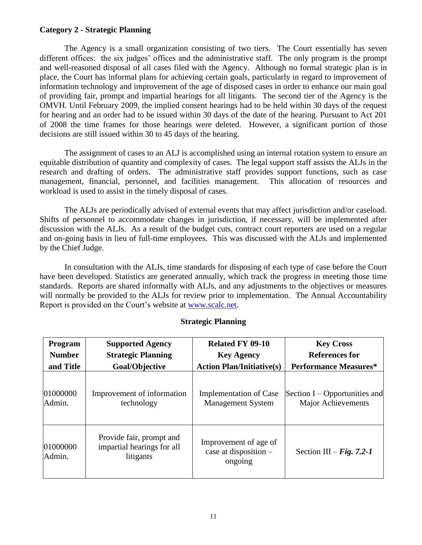### **Category 2 - Strategic Planning**

The Agency is a small organization consisting of two tiers. The Court essentially has seven different offices: the six judges' offices and the administrative staff. The only program is the prompt and well-reasoned disposal of all cases filed with the Agency. Although no formal strategic plan is in place, the Court has informal plans for achieving certain goals, particularly in regard to improvement of information technology and improvement of the age of disposed cases in order to enhance our main goal of providing fair, prompt and impartial hearings for all litigants. The second tier of the Agency is the OMVH. Until February 2009, the implied consent hearings had to be held within 30 days of the request for hearing and an order had to be issued within 30 days of the date of the hearing. Pursuant to Act 201 of 2008 the time frames for those hearings were deleted. However, a significant portion of those decisions are still issued within 30 to 45 days of the hearing.

The assignment of cases to an ALJ is accomplished using an internal rotation system to ensure an equitable distribution of quantity and complexity of cases. The legal support staff assists the ALJs in the research and drafting of orders. The administrative staff provides support functions, such as case management, financial, personnel, and facilities management. This allocation of resources and workload is used to assist in the timely disposal of cases.

The ALJs are periodically advised of external events that may affect jurisdiction and/or caseload. Shifts of personnel to accommodate changes in jurisdiction, if necessary, will be implemented after discussion with the ALJs. As a result of the budget cuts, contract court reporters are used on a regular and on-going basis in lieu of full-time employees. This was discussed with the ALJs and implemented by the Chief Judge.

In consultation with the ALJs, time standards for disposing of each type of case before the Court have been developed. Statistics are generated annually, which track the progress in meeting those time standards. Reports are shared informally with ALJs, and any adjustments to the objectives or measures will normally be provided to the ALJs for review prior to implementation. The Annual Accountability Report is provided on the Court's website at [www.scalc.net.](http://www.scalc.net/)

### **Strategic Planning**

| Program            | <b>Supported Agency</b>                                             | <b>Related FY 09-10</b>                                     | <b>Key Cross</b>                |
|--------------------|---------------------------------------------------------------------|-------------------------------------------------------------|---------------------------------|
| <b>Number</b>      | <b>Strategic Planning</b>                                           | <b>Key Agency</b>                                           | References for                  |
| and Title          | Goal/Objective                                                      | <b>Action Plan/Initiative(s)</b>                            | <b>Performance Measures*</b>    |
| 01000000           | Improvement of information                                          | <b>Implementation of Case</b>                               | Section $I -$ Opportunities and |
| Admin.             | technology                                                          | <b>Management System</b>                                    | <b>Major Achievements</b>       |
| 01000000<br>Admin. | Provide fair, prompt and<br>impartial hearings for all<br>litigants | Improvement of age of<br>case at disposition $-$<br>ongoing | Section III – Fig. 7.2-1        |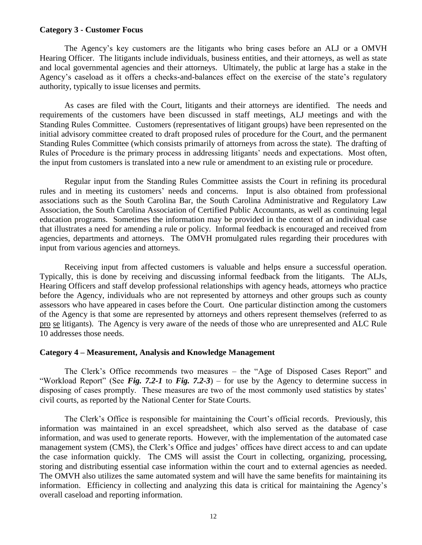### **Category 3 - Customer Focus**

The Agency's key customers are the litigants who bring cases before an ALJ or a OMVH Hearing Officer. The litigants include individuals, business entities, and their attorneys, as well as state and local governmental agencies and their attorneys. Ultimately, the public at large has a stake in the Agency's caseload as it offers a checks-and-balances effect on the exercise of the state's regulatory authority, typically to issue licenses and permits.

As cases are filed with the Court, litigants and their attorneys are identified. The needs and requirements of the customers have been discussed in staff meetings, ALJ meetings and with the Standing Rules Committee. Customers (representatives of litigant groups) have been represented on the initial advisory committee created to draft proposed rules of procedure for the Court, and the permanent Standing Rules Committee (which consists primarily of attorneys from across the state). The drafting of Rules of Procedure is the primary process in addressing litigants' needs and expectations. Most often, the input from customers is translated into a new rule or amendment to an existing rule or procedure.

Regular input from the Standing Rules Committee assists the Court in refining its procedural rules and in meeting its customers' needs and concerns. Input is also obtained from professional associations such as the South Carolina Bar, the South Carolina Administrative and Regulatory Law Association, the South Carolina Association of Certified Public Accountants, as well as continuing legal education programs. Sometimes the information may be provided in the context of an individual case that illustrates a need for amending a rule or policy. Informal feedback is encouraged and received from agencies, departments and attorneys. The OMVH promulgated rules regarding their procedures with input from various agencies and attorneys.

Receiving input from affected customers is valuable and helps ensure a successful operation. Typically, this is done by receiving and discussing informal feedback from the litigants. The ALJs, Hearing Officers and staff develop professional relationships with agency heads, attorneys who practice before the Agency, individuals who are not represented by attorneys and other groups such as county assessors who have appeared in cases before the Court. One particular distinction among the customers of the Agency is that some are represented by attorneys and others represent themselves (referred to as pro se litigants). The Agency is very aware of the needs of those who are unrepresented and ALC Rule 10 addresses those needs.

### **Category 4 – Measurement, Analysis and Knowledge Management**

The Clerk's Office recommends two measures – the "Age of Disposed Cases Report" and "Workload Report" (See *Fig. 7.2-1* to *Fig. 7.2-3*) – for use by the Agency to determine success in disposing of cases promptly. These measures are two of the most commonly used statistics by states' civil courts, as reported by the National Center for State Courts.

The Clerk's Office is responsible for maintaining the Court's official records. Previously, this information was maintained in an excel spreadsheet, which also served as the database of case information, and was used to generate reports. However, with the implementation of the automated case management system (CMS), the Clerk's Office and judges' offices have direct access to and can update the case information quickly. The CMS will assist the Court in collecting, organizing, processing, storing and distributing essential case information within the court and to external agencies as needed. The OMVH also utilizes the same automated system and will have the same benefits for maintaining its information. Efficiency in collecting and analyzing this data is critical for maintaining the Agency's overall caseload and reporting information.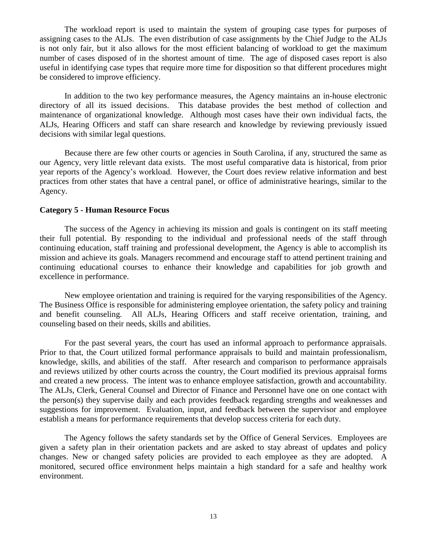The workload report is used to maintain the system of grouping case types for purposes of assigning cases to the ALJs. The even distribution of case assignments by the Chief Judge to the ALJs is not only fair, but it also allows for the most efficient balancing of workload to get the maximum number of cases disposed of in the shortest amount of time. The age of disposed cases report is also useful in identifying case types that require more time for disposition so that different procedures might be considered to improve efficiency.

In addition to the two key performance measures, the Agency maintains an in-house electronic directory of all its issued decisions. This database provides the best method of collection and maintenance of organizational knowledge. Although most cases have their own individual facts, the ALJs, Hearing Officers and staff can share research and knowledge by reviewing previously issued decisions with similar legal questions.

Because there are few other courts or agencies in South Carolina, if any, structured the same as our Agency, very little relevant data exists. The most useful comparative data is historical, from prior year reports of the Agency's workload. However, the Court does review relative information and best practices from other states that have a central panel, or office of administrative hearings, similar to the Agency.

### **Category 5 - Human Resource Focus**

The success of the Agency in achieving its mission and goals is contingent on its staff meeting their full potential. By responding to the individual and professional needs of the staff through continuing education, staff training and professional development, the Agency is able to accomplish its mission and achieve its goals. Managers recommend and encourage staff to attend pertinent training and continuing educational courses to enhance their knowledge and capabilities for job growth and excellence in performance.

New employee orientation and training is required for the varying responsibilities of the Agency. The Business Office is responsible for administering employee orientation, the safety policy and training and benefit counseling. All ALJs, Hearing Officers and staff receive orientation, training, and counseling based on their needs, skills and abilities.

For the past several years, the court has used an informal approach to performance appraisals. Prior to that, the Court utilized formal performance appraisals to build and maintain professionalism, knowledge, skills, and abilities of the staff. After research and comparison to performance appraisals and reviews utilized by other courts across the country, the Court modified its previous appraisal forms and created a new process. The intent was to enhance employee satisfaction, growth and accountability. The ALJs, Clerk, General Counsel and Director of Finance and Personnel have one on one contact with the person(s) they supervise daily and each provides feedback regarding strengths and weaknesses and suggestions for improvement. Evaluation, input, and feedback between the supervisor and employee establish a means for performance requirements that develop success criteria for each duty.

The Agency follows the safety standards set by the Office of General Services. Employees are given a safety plan in their orientation packets and are asked to stay abreast of updates and policy changes. New or changed safety policies are provided to each employee as they are adopted. A monitored, secured office environment helps maintain a high standard for a safe and healthy work environment.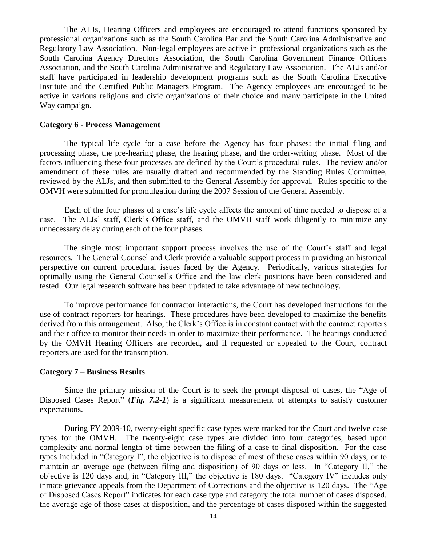The ALJs, Hearing Officers and employees are encouraged to attend functions sponsored by professional organizations such as the South Carolina Bar and the South Carolina Administrative and Regulatory Law Association. Non-legal employees are active in professional organizations such as the South Carolina Agency Directors Association, the South Carolina Government Finance Officers Association, and the South Carolina Administrative and Regulatory Law Association. The ALJs and/or staff have participated in leadership development programs such as the South Carolina Executive Institute and the Certified Public Managers Program. The Agency employees are encouraged to be active in various religious and civic organizations of their choice and many participate in the United Way campaign.

### **Category 6 - Process Management**

The typical life cycle for a case before the Agency has four phases: the initial filing and processing phase, the pre-hearing phase, the hearing phase, and the order-writing phase. Most of the factors influencing these four processes are defined by the Court's procedural rules. The review and/or amendment of these rules are usually drafted and recommended by the Standing Rules Committee, reviewed by the ALJs, and then submitted to the General Assembly for approval. Rules specific to the OMVH were submitted for promulgation during the 2007 Session of the General Assembly.

Each of the four phases of a case's life cycle affects the amount of time needed to dispose of a case. The ALJs' staff, Clerk's Office staff, and the OMVH staff work diligently to minimize any unnecessary delay during each of the four phases.

The single most important support process involves the use of the Court's staff and legal resources. The General Counsel and Clerk provide a valuable support process in providing an historical perspective on current procedural issues faced by the Agency. Periodically, various strategies for optimally using the General Counsel's Office and the law clerk positions have been considered and tested. Our legal research software has been updated to take advantage of new technology.

To improve performance for contractor interactions, the Court has developed instructions for the use of contract reporters for hearings. These procedures have been developed to maximize the benefits derived from this arrangement. Also, the Clerk's Office is in constant contact with the contract reporters and their office to monitor their needs in order to maximize their performance. The hearings conducted by the OMVH Hearing Officers are recorded, and if requested or appealed to the Court, contract reporters are used for the transcription.

### **Category 7 – Business Results**

Since the primary mission of the Court is to seek the prompt disposal of cases, the "Age of Disposed Cases Report" (*Fig. 7.2-1*) is a significant measurement of attempts to satisfy customer expectations.

During FY 2009-10, twenty-eight specific case types were tracked for the Court and twelve case types for the OMVH. The twenty-eight case types are divided into four categories, based upon complexity and normal length of time between the filing of a case to final disposition. For the case types included in "Category I", the objective is to dispose of most of these cases within 90 days, or to maintain an average age (between filing and disposition) of 90 days or less. In "Category II," the objective is 120 days and, in "Category III," the objective is 180 days. "Category IV" includes only inmate grievance appeals from the Department of Corrections and the objective is 120 days. The "Age of Disposed Cases Report" indicates for each case type and category the total number of cases disposed, the average age of those cases at disposition, and the percentage of cases disposed within the suggested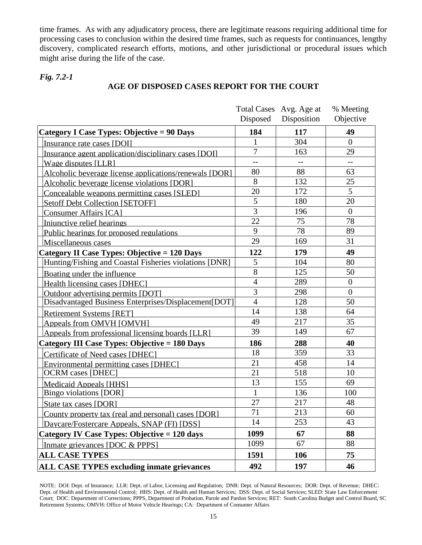time frames. As with any adjudicatory process, there are legitimate reasons requiring additional time for processing cases to conclusion within the desired time frames, such as requests for continuances, lengthy discovery, complicated research efforts, motions, and other jurisdictional or procedural issues which might arise during the life of the case.

### *Fig. 7.2-1*

# **AGE OF DISPOSED CASES REPORT FOR THE COURT**

|                                                        |                | Total Cases Avg. Age at | % Meeting      |
|--------------------------------------------------------|----------------|-------------------------|----------------|
|                                                        | Disposed       | Disposition             | Objective      |
| Category I Case Types: Objective = 90 Days             | 184            | 117                     | 49             |
| Insurance rate cases [DOI]                             | 1              | 304                     | $\Omega$       |
| Insurance agent application/disciplinary cases [DOI]   | $\overline{7}$ | 163                     | 29             |
| Wage disputes [LLR]                                    | $-$            | $- -$                   | $-$            |
| Alcoholic beverage license applications/renewals [DOR] | 80             | 88                      | 63             |
| Alcoholic beverage license violations [DOR]            | 8              | 132                     | 25             |
| Concealable weapons permitting cases [SLED]            | 20             | 172                     | 5              |
| <b>Setoff Debt Collection [SETOFF]</b>                 | 5              | 180                     | 20             |
| <b>Consumer Affairs [CA]</b>                           | $\overline{3}$ | 196                     | $\overline{0}$ |
| Injunctive relief hearings                             | 22             | 75                      | 78             |
| Public hearings for proposed regulations               | 9              | 78                      | 89             |
| Miscellaneous cases                                    | 29             | 169                     | 31             |
| <b>Category II Case Types: Objective = 120 Days</b>    | 122            | 179                     | 49             |
| Hunting/Fishing and Coastal Fisheries violations [DNR] | 5              | 104                     | 80             |
| Boating under the influence                            | $\overline{8}$ | 125                     | 50             |
| Health licensing cases [DHEC]                          | $\overline{4}$ | 289                     | $\overline{0}$ |
| Outdoor advertising permits [DOT]                      | $\overline{3}$ | 298                     | $\overline{0}$ |
| Disadvantaged Business Enterprises/Displacement[DOT]   | $\overline{4}$ | 128                     | 50             |
| <b>Retirement Systems [RET]</b>                        | 14             | 138                     | 64             |
| Appeals from OMVH [OMVH]                               | 49             | 217                     | 35             |
| Appeals from professional licensing boards [LLR]       | 39             | 149                     | 67             |
| Category III Case Types: Objective = 180 Days          | 186            | 288                     | 40             |
| Certificate of Need cases [DHEC]                       | 18             | 359                     | 33             |
| <b>Environmental permitting cases [DHEC]</b>           | 21             | 458                     | 14             |
| <b>OCRM</b> cases [DHEC]                               | 21             | 518                     | 10             |
| <b>Medicaid Appeals [HHS]</b>                          | 13             | 155                     | 69             |
| <b>Bingo violations [DOR]</b>                          | $\mathbf{1}$   | 136                     | 100            |
| State tax cases [DOR]                                  | 27             | 217                     | 48             |
| County property tax (real and personal) cases [DOR]    | 71             | 213                     | 60             |
| Daycare/Fostercare Appeals, SNAP (FI) [DSS]            | 14             | 253                     | 43             |
| Category IV Case Types: Objective = 120 days           | 1099           | 67                      | 88             |
| Inmate grievances [DOC & PPPS]                         | 1099           | 67                      | 88             |
| <b>ALL CASE TYPES</b>                                  | 1591           | 106                     | 75             |
| <b>ALL CASE TYPES excluding inmate grievances</b>      | 492            | 197                     | 46             |

NOTE: DOI: Dept. of Insurance; LLR: Dept. of Labor, Licensing and Regulation; DNR: Dept. of Natural Resources; DOR: Dept. of Revenue; DHEC: Dept. of Health and Environmental Control; HHS: Dept. of Health and Human Services; DSS: Dept. of Social Services; SLED: State Law Enforcement Court; DOC: Department of Corrections; PPPS, Department of Probation, Parole and Pardon Services; RET: South Carolina Budget and Control Board, SC Retirement Systems; OMVH: Office of Motor Vehicle Hearings; CA: Department of Consumer Affairs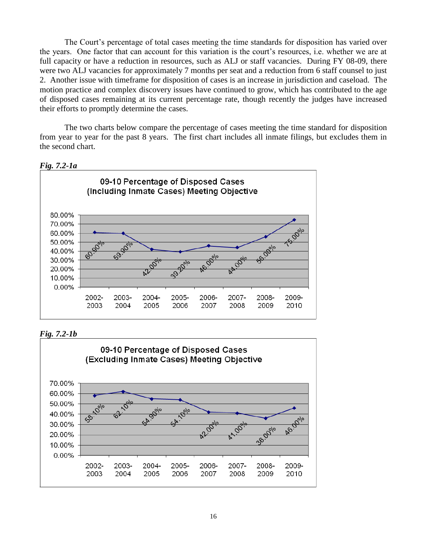The Court's percentage of total cases meeting the time standards for disposition has varied over the years. One factor that can account for this variation is the court's resources, i.e. whether we are at full capacity or have a reduction in resources, such as ALJ or staff vacancies. During FY 08-09, there were two ALJ vacancies for approximately 7 months per seat and a reduction from 6 staff counsel to just 2. Another issue with timeframe for disposition of cases is an increase in jurisdiction and caseload. The motion practice and complex discovery issues have continued to grow, which has contributed to the age of disposed cases remaining at its current percentage rate, though recently the judges have increased their efforts to promptly determine the cases.

The two charts below compare the percentage of cases meeting the time standard for disposition from year to year for the past 8 years. The first chart includes all inmate filings, but excludes them in the second chart.







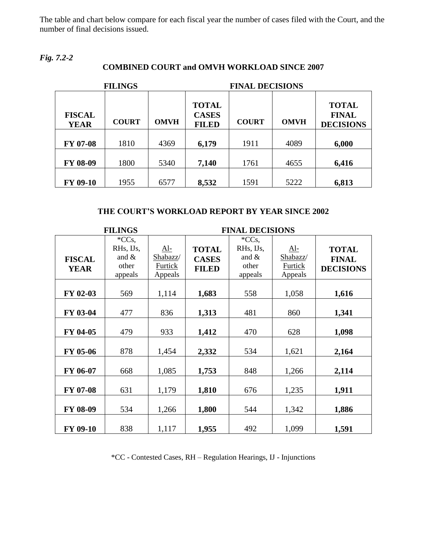The table and chart below compare for each fiscal year the number of cases filed with the Court, and the number of final decisions issued.

*Fig. 7.2-2*

# **COMBINED COURT and OMVH WORKLOAD SINCE 2007**

|                              | <b>FILINGS</b> | <b>FINAL DECISIONS</b> |                                              |              |             |                                                  |
|------------------------------|----------------|------------------------|----------------------------------------------|--------------|-------------|--------------------------------------------------|
| <b>FISCAL</b><br><b>YEAR</b> | <b>COURT</b>   | <b>OMVH</b>            | <b>TOTAL</b><br><b>CASES</b><br><b>FILED</b> | <b>COURT</b> | <b>OMVH</b> | <b>TOTAL</b><br><b>FINAL</b><br><b>DECISIONS</b> |
| <b>FY 07-08</b>              | 1810           | 4369                   | 6,179                                        | 1911         | 4089        | 6,000                                            |
| FY 08-09                     | 1800           | 5340                   | 7,140                                        | 1761         | 4655        | 6,416                                            |
| FY 09-10                     | 1955           | 6577                   | 8,532                                        | 1591         | 5222        | 6,813                                            |

# **THE COURT'S WORKLOAD REPORT BY YEAR SINCE 2002**

|                              | <b>FILINGS</b>                                           |                                              |                                              | <b>FINAL DECISIONS</b>                                   |                                         |                                                  |
|------------------------------|----------------------------------------------------------|----------------------------------------------|----------------------------------------------|----------------------------------------------------------|-----------------------------------------|--------------------------------------------------|
| <b>FISCAL</b><br><b>YEAR</b> | ${}^*CCs$ ,<br>RHs, IJs,<br>and $\&$<br>other<br>appeals | <u>Al-</u><br>Shabazz/<br>Furtick<br>Appeals | <b>TOTAL</b><br><b>CASES</b><br><b>FILED</b> | ${}^*CCs$ ,<br>RHs, IJs,<br>and $\&$<br>other<br>appeals | $Al-$<br>Shabazz/<br>Furtick<br>Appeals | <b>TOTAL</b><br><b>FINAL</b><br><b>DECISIONS</b> |
| FY 02-03                     | 569                                                      | 1,114                                        | 1,683                                        | 558                                                      | 1,058                                   | 1,616                                            |
| FY 03-04                     | 477                                                      | 836                                          | 1,313                                        | 481                                                      | 860                                     | 1,341                                            |
| FY 04-05                     | 479                                                      | 933                                          | 1,412                                        | 470                                                      | 628                                     | 1,098                                            |
| FY 05-06                     | 878                                                      | 1,454                                        | 2,332                                        | 534                                                      | 1,621                                   | 2,164                                            |
| FY 06-07                     | 668                                                      | 1,085                                        | 1,753                                        | 848                                                      | 1,266                                   | 2,114                                            |
| FY 07-08                     | 631                                                      | 1,179                                        | 1,810                                        | 676                                                      | 1,235                                   | 1,911                                            |
| FY 08-09                     | 534                                                      | 1,266                                        | 1,800                                        | 544                                                      | 1,342                                   | 1,886                                            |
| FY 09-10                     | 838                                                      | 1,117                                        | 1,955                                        | 492                                                      | 1,099                                   | 1,591                                            |

\*CC - Contested Cases, RH – Regulation Hearings, IJ - Injunctions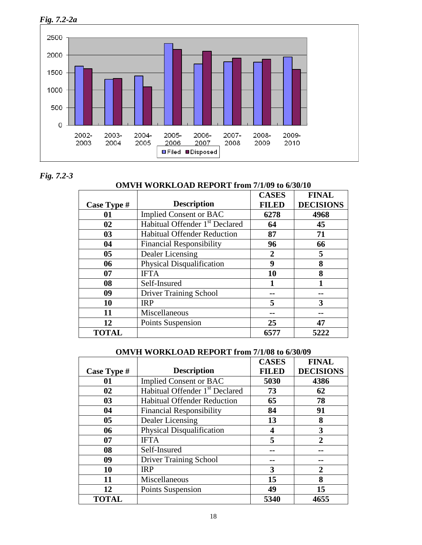

# *Fig. 7.2-3*

|                |                                            | <b>CASES</b>   | <b>FINAL</b>     |
|----------------|--------------------------------------------|----------------|------------------|
| Case Type #    | <b>Description</b>                         | <b>FILED</b>   | <b>DECISIONS</b> |
| 01             | <b>Implied Consent or BAC</b>              | 6278           | 4968             |
| 02             | Habitual Offender 1 <sup>st</sup> Declared | 64             | 45               |
| 0 <sub>3</sub> | <b>Habitual Offender Reduction</b>         | 87             | 71               |
| 04             | <b>Financial Responsibility</b>            | 96             | 66               |
| 05             | Dealer Licensing                           | $\overline{2}$ | 5                |
| 06             | <b>Physical Disqualification</b>           | 9              | 8                |
| 07             | <b>IFTA</b>                                | 10             | 8                |
| 08             | Self-Insured                               |                |                  |
| 09             | <b>Driver Training School</b>              |                |                  |
| 10             | <b>IRP</b>                                 | 5              | 3                |
| 11             | Miscellaneous                              |                |                  |
| 12             | Points Suspension                          | 25             | 47               |
| <b>TOTAL</b>   |                                            | 6577           | 5222             |

### **OMVH WORKLOAD REPORT from 7/1/09 to 6/30/10**

### **OMVH WORKLOAD REPORT from 7/1/08 to 6/30/09**

|                |                                            | <b>CASES</b> | <b>FINAL</b>     |
|----------------|--------------------------------------------|--------------|------------------|
| Case Type $#$  | <b>Description</b>                         | <b>FILED</b> | <b>DECISIONS</b> |
| 01             | <b>Implied Consent or BAC</b>              | 5030         | 4386             |
| 02             | Habitual Offender 1 <sup>st</sup> Declared | 73           | 62               |
| 0 <sub>3</sub> | <b>Habitual Offender Reduction</b>         | 65           | 78               |
| 04             | <b>Financial Responsibility</b>            | 84           | 91               |
| 0 <sub>5</sub> | Dealer Licensing                           | 13           | 8                |
| 06             | Physical Disqualification                  | 4            | 3                |
| 07             | <b>IFTA</b>                                | 5            | $\mathbf{2}$     |
| 08             | Self-Insured                               |              |                  |
| 09             | <b>Driver Training School</b>              |              |                  |
| 10             | <b>IRP</b>                                 | 3            | $\mathbf{2}$     |
| 11             | Miscellaneous                              | 15           | 8                |
| 12             | Points Suspension                          | 49           | 15               |
| <b>TOTAL</b>   |                                            | 5340         | 4655             |